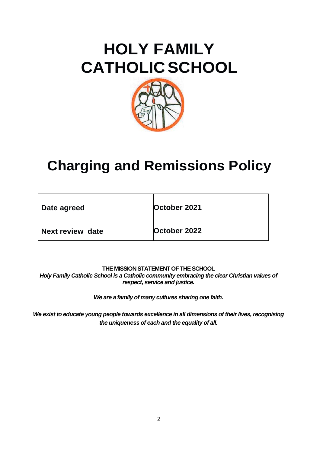# **HOLY FAMILY CATHOLIC SCHOOL**



# **Charging and Remissions Policy**

| Date agreed      | October 2021 |
|------------------|--------------|
| Next review date | October 2022 |

#### **THE MISSION STATEMENT OF THE SCHOOL**

*Holy Family Catholic School is a Catholic community embracing the clear Christian values of respect, service and justice.*

*We are a family of many cultures sharing one faith.*

*We exist to educate young people towards excellence in all dimensions of their lives, recognising the uniqueness of each and the equality of all.*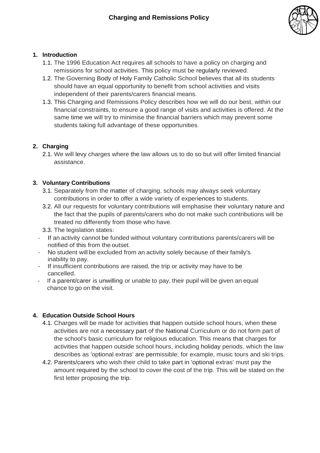

# **1. Introduction**

- 1.1. The 1996 Education Act requires all schools to have a policy on charging and remissions for school activities. This policy must be regularly reviewed.
- 1.2. The Governing Body of Holy Family Catholic School believes that all its students should have an equal opportunity to benefit from school activities and visits independent of their parents/carers financial means.
- 1.3. This Charging and Remissions Policy describes how we will do our best, within our financial constraints, to ensure a good range of visits and activities is offered. At the same time we will try to minimise the financial barriers which may prevent some students taking full advantage of these opportunities.

# **2. Charging**

2.1. We will levy charges where the law allows us to do so but will offer limited financial assistance.

#### **3. Voluntary Contributions**

- 3.1. Separately from the matter of charging, schools may always seek voluntary contributions in order to offer a wide variety of experiences to students.
- 3.2. All our requests for voluntary contributions will emphasise their voluntary nature and the fact that the pupils of parents/carers who do not make such contributions will be treated no differently from those who have.
- 3.3. The legislation states:
- If an activity cannot be funded without voluntary contributions parents/carers will be notified of this from the outset.
- No student will be excluded from an activity solely because of their family's inability to pay.
- If insufficient contributions are raised, the trip or activity may have to be cancelled.
- If a parent/carer is unwilling or unable to pay, their pupil will be given an equal chance to go on the visit.

#### **4. Education Outside School Hours**

- 4.1. Charges will be made for activities that happen outside school hours, when these activities are not a necessary part of the National Curriculum or do not form part of the school's basic curriculum for religious education. This means that charges for activities that happen outside school hours, including holiday periods, which the law describes as 'optional extras' are permissible; for example, music tours and ski trips.
- 4.2. Parents/carers who wish their child to take part in 'optional extras' must pay the amount required by the school to cover the cost of the trip. This will be stated on the first letter proposing the trip.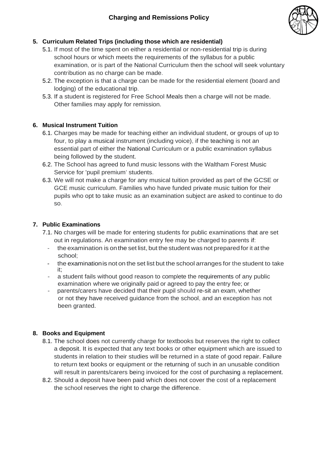

# **5. Curriculum Related Trips (including those which are residential)**

- 5.1. If most of the time spent on either a residential or non-residential trip is during school hours or which meets the requirements of the syllabus for a public examination, or is part of the National Curriculum then the school will seek voluntary contribution as no charge can be made.
- 5.2. The exception is that a charge can be made for the residential element (board and lodging) of the educational trip.
- 5.3. If a student is registered for Free School Meals then a charge will not be made. Other families may apply for remission.

# **6. Musical Instrument Tuition**

- 6.1. Charges may be made for teaching either an individual student, or groups of up to four, to play a musical instrument (including voice), if the teaching is not an essential part of either the National Curriculum or a public examination syllabus being followed by the student.
- 6.2. The School has agreed to fund music lessons with the Waltham Forest Music Service for 'pupil premium' students.
- 6.3. We will not make a charge for any musical tuition provided as part of the GCSE or GCE music curriculum. Families who have funded private music tuition for their pupils who opt to take music as an examination subject are asked to continue to do so.

# **7. Public Examinations**

- 7.1. No charges will be made for entering students for public examinations that are set out in regulations. An examination entry fee may be charged to parents if:
	- the examination is on the set list, but the student was not prepared for it at the school;
	- the examination is not on the set list but the school arranges for the student to take it;
	- a student fails without good reason to complete the requirements of any public examination where we originally paid or agreed to pay the entry fee; or
	- parents/carers have decided that their pupil should re-sit an exam, whether or not they have received guidance from the school, and an exception has not been granted.

#### **8. Books and Equipment**

- 8.1. The school does not currently charge for textbooks but reserves the right to collect a deposit. It is expected that any text books or other equipment which are issued to students in relation to their studies will be returned in a state of good repair. Failure to return text books or equipment or the returning of such in an unusable condition will result in parents/carers being invoiced for the cost of purchasing a replacement.
- 8.2. Should a deposit have been paid which does not cover the cost of a replacement the school reserves the right to charge the difference.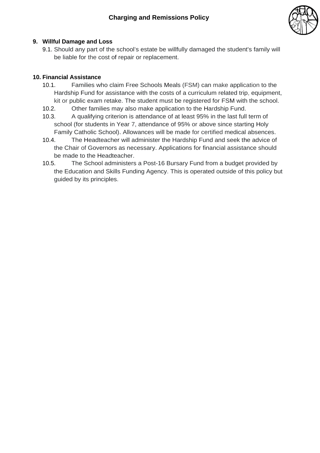

# **9. Willful Damage and Loss**

9.1. Should any part of the school's estate be willfully damaged the student's family will be liable for the cost of repair or replacement.

### **10. Financial Assistance**

- 10.1. Families who claim Free Schools Meals (FSM) can make application to the Hardship Fund for assistance with the costs of a curriculum related trip, equipment, kit or public exam retake. The student must be registered for FSM with the school.
- 10.2. Other families may also make application to the Hardship Fund.
- 10.3. A qualifying criterion is attendance of at least 95% in the last full term of school (for students in Year 7, attendance of 95% or above since starting Holy Family Catholic School). Allowances will be made for certified medical absences.
- 10.4. The Headteacher will administer the Hardship Fund and seek the advice of the Chair of Governors as necessary. Applications for financial assistance should be made to the Headteacher.
- 10.5. The School administers a Post-16 Bursary Fund from a budget provided by the Education and Skills Funding Agency. This is operated outside of this policy but guided by its principles.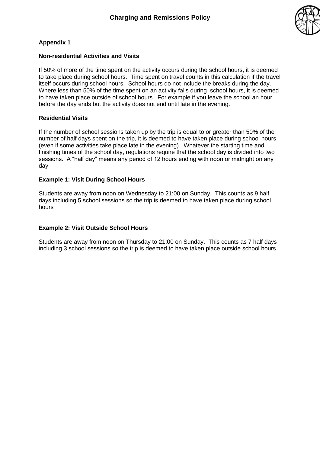

# **Appendix 1**

#### **Non-residential Activities and Visits**

If 50% of more of the time spent on the activity occurs during the school hours, it is deemed to take place during school hours. Time spent on travel counts in this calculation if the travel itself occurs during school hours. School hours do not include the breaks during the day. Where less than 50% of the time spent on an activity falls during school hours, it is deemed to have taken place outside of school hours. For example if you leave the school an hour before the day ends but the activity does not end until late in the evening.

#### **Residential Visits**

If the number of school sessions taken up by the trip is equal to or greater than 50% of the number of half days spent on the trip, it is deemed to have taken place during school hours (even if some activities take place late in the evening). Whatever the starting time and finishing times of the school day, regulations require that the school day is divided into two sessions. A "half day" means any period of 12 hours ending with noon or midnight on any day

#### **Example 1: Visit During School Hours**

Students are away from noon on Wednesday to 21:00 on Sunday. This counts as 9 half days including 5 school sessions so the trip is deemed to have taken place during school hours

#### **Example 2: Visit Outside School Hours**

Students are away from noon on Thursday to 21:00 on Sunday. This counts as 7 half days including 3 school sessions so the trip is deemed to have taken place outside school hours